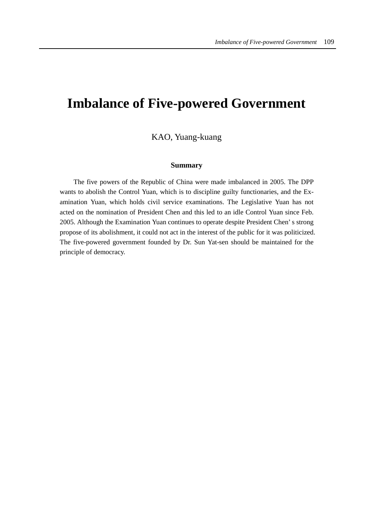# **Imbalance of Five-powered Government**

# KAO, Yuang-kuang

## **Summary**

The five powers of the Republic of China were made imbalanced in 2005. The DPP wants to abolish the Control Yuan, which is to discipline guilty functionaries, and the Examination Yuan, which holds civil service examinations. The Legislative Yuan has not acted on the nomination of President Chen and this led to an idle Control Yuan since Feb. 2005. Although the Examination Yuan continues to operate despite President Chen' s strong propose of its abolishment, it could not act in the interest of the public for it was politicized. The five-powered government founded by Dr. Sun Yat-sen should be maintained for the principle of democracy.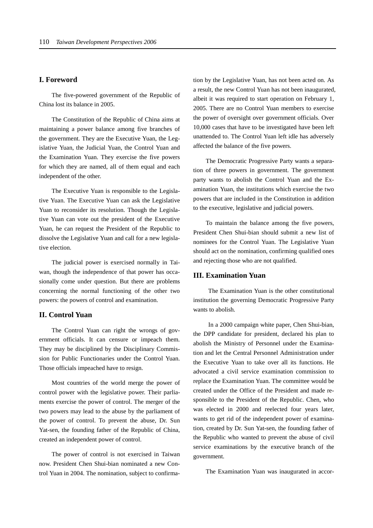#### **I. Foreword**

The five-powered government of the Republic of China lost its balance in 2005.

The Constitution of the Republic of China aims at maintaining a power balance among five branches of the government. They are the Executive Yuan, the Legislative Yuan, the Judicial Yuan, the Control Yuan and the Examination Yuan. They exercise the five powers for which they are named, all of them equal and each independent of the other.

The Executive Yuan is responsible to the Legislative Yuan. The Executive Yuan can ask the Legislative Yuan to reconsider its resolution. Though the Legislative Yuan can vote out the president of the Executive Yuan, he can request the President of the Republic to dissolve the Legislative Yuan and call for a new legislative election.

The judicial power is exercised normally in Taiwan, though the independence of that power has occasionally come under question. But there are problems concerning the normal functioning of the other two powers: the powers of control and examination.

## **II. Control Yuan**

The Control Yuan can right the wrongs of government officials. It can censure or impeach them. They may be disciplined by the Disciplinary Commission for Public Functionaries under the Control Yuan. Those officials impeached have to resign.

Most countries of the world merge the power of control power with the legislative power. Their parliaments exercise the power of control. The merger of the two powers may lead to the abuse by the parliament of the power of control. To prevent the abuse, Dr. Sun Yat-sen, the founding father of the Republic of China, created an independent power of control.

The power of control is not exercised in Taiwan now. President Chen Shui-bian nominated a new Control Yuan in 2004. The nomination, subject to confirmation by the Legislative Yuan, has not been acted on. As a result, the new Control Yuan has not been inaugurated, albeit it was required to start operation on February 1, 2005. There are no Control Yuan members to exercise the power of oversight over government officials. Over 10,000 cases that have to be investigated have been left unattended to. The Control Yuan left idle has adversely affected the balance of the five powers.

The Democratic Progressive Party wants a separation of three powers in government. The government party wants to abolish the Control Yuan and the Examination Yuan, the institutions which exercise the two powers that are included in the Constitution in addition to the executive, legislative and judicial powers.

To maintain the balance among the five powers, President Chen Shui-bian should submit a new list of nominees for the Control Yuan. The Legislative Yuan should act on the nomination, confirming qualified ones and rejecting those who are not qualified.

#### **III. Examination Yuan**

 The Examination Yuan is the other constitutional institution the governing Democratic Progressive Party wants to abolish.

 In a 2000 campaign white paper, Chen Shui-bian, the DPP candidate for president, declared his plan to abolish the Ministry of Personnel under the Examination and let the Central Personnel Administration under the Executive Yuan to take over all its functions. He advocated a civil service examination commission to replace the Examination Yuan. The committee would be created under the Office of the President and made responsible to the President of the Republic. Chen, who was elected in 2000 and reelected four years later, wants to get rid of the independent power of examination, created by Dr. Sun Yat-sen, the founding father of the Republic who wanted to prevent the abuse of civil service examinations by the executive branch of the government.

The Examination Yuan was inaugurated in accor-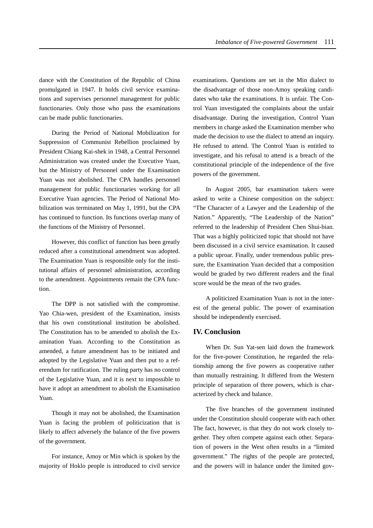dance with the Constitution of the Republic of China promulgated in 1947. It holds civil service examinations and supervises personnel management for public functionaries. Only those who pass the examinations can be made public functionaries.

During the Period of National Mobilization for Suppression of Communist Rebellion proclaimed by President Chiang Kai-shek in 1948, a Central Personnel Administration was created under the Executive Yuan, but the Ministry of Personnel under the Examination Yuan was not abolished. The CPA handles personnel management for public functionaries working for all Executive Yuan agencies. The Period of National Mobilization was terminated on May 1, 1991, but the CPA has continued to function. Its functions overlap many of the functions of the Ministry of Personnel.

However, this conflict of function has been greatly reduced after a constitutional amendment was adopted. The Examination Yuan is responsible only for the institutional affairs of personnel administration, according to the amendment. Appointments remain the CPA function.

The DPP is not satisfied with the compromise. Yao Chia-wen, president of the Examination, insists that his own constitutional institution be abolished. The Constitution has to be amended to abolish the Examination Yuan. According to the Constitution as amended, a future amendment has to be initiated and adopted by the Legislative Yuan and then put to a referendum for ratification. The ruling party has no control of the Legislative Yuan, and it is next to impossible to have it adopt an amendment to abolish the Examination Yuan.

Though it may not be abolished, the Examination Yuan is facing the problem of politicization that is likely to affect adversely the balance of the five powers of the government.

For instance, Amoy or Min which is spoken by the majority of Hoklo people is introduced to civil service examinations. Questions are set in the Min dialect to the disadvantage of those non-Amoy speaking candidates who take the examinations. It is unfair. The Control Yuan investigated the complaints about the unfair disadvantage. During the investigation, Control Yuan members in charge asked the Examination member who made the decision to use the dialect to attend an inquiry. He refused to attend. The Control Yuan is entitled to investigate, and his refusal to attend is a breach of the constitutional principle of the independence of the five powers of the government.

In August 2005, bar examination takers were asked to write a Chinese composition on the subject: "The Character of a Lawyer and the Leadership of the Nation." Apparently, "The Leadership of the Nation" referred to the leadership of President Chen Shui-bian. That was a highly politicized topic that should not have been discussed in a civil service examination. It caused a public uproar. Finally, under tremendous public pressure, the Examination Yuan decided that a composition would be graded by two different readers and the final score would be the mean of the two grades.

A politicized Examination Yuan is not in the interest of the general public. The power of examination should be independently exercised.

#### **IV. Conclusion**

When Dr. Sun Yat-sen laid down the framework for the five-power Constitution, he regarded the relationship among the five powers as cooperative rather than mutually restraining. It differed from the Western principle of separation of three powers, which is characterized by check and balance.

The five branches of the government instituted under the Constitution should cooperate with each other. The fact, however, is that they do not work closely together. They often compete against each other. Separation of powers in the West often results in a "limited government." The rights of the people are protected, and the powers will in balance under the limited gov